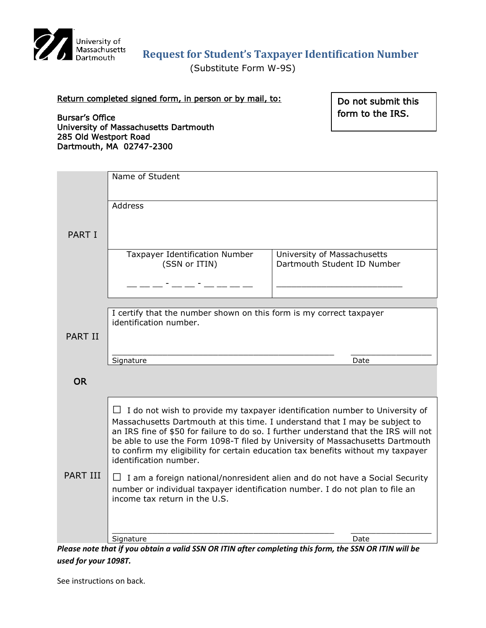

# **Request for Student's Taxpayer Identification Number**

(Substitute Form W-9S)

### Return completed signed form, in person or by mail, to:

Do not submit this form to the IRS.

Bursar's Office University of Massachusetts Dartmouth 285 Old Westport Road Dartmouth, MA 02747-2300

|                 | Name of Student                                                                                                                                                                                                                  |                             |
|-----------------|----------------------------------------------------------------------------------------------------------------------------------------------------------------------------------------------------------------------------------|-----------------------------|
|                 |                                                                                                                                                                                                                                  |                             |
| <b>PART I</b>   | Address                                                                                                                                                                                                                          |                             |
|                 |                                                                                                                                                                                                                                  |                             |
|                 |                                                                                                                                                                                                                                  |                             |
|                 |                                                                                                                                                                                                                                  |                             |
|                 | Taxpayer Identification Number                                                                                                                                                                                                   | University of Massachusetts |
|                 | (SSN or ITIN)                                                                                                                                                                                                                    | Dartmouth Student ID Number |
|                 | 7 <u>- 1 - 1 - 1 - 1 - 1 - 1 - 1</u>                                                                                                                                                                                             |                             |
|                 |                                                                                                                                                                                                                                  |                             |
|                 | I certify that the number shown on this form is my correct taxpayer                                                                                                                                                              |                             |
|                 | identification number.                                                                                                                                                                                                           |                             |
| <b>PART II</b>  |                                                                                                                                                                                                                                  |                             |
|                 |                                                                                                                                                                                                                                  |                             |
|                 | Signature                                                                                                                                                                                                                        | Date                        |
| <b>OR</b>       |                                                                                                                                                                                                                                  |                             |
|                 |                                                                                                                                                                                                                                  |                             |
| <b>PART III</b> | $\Box$ I do not wish to provide my taxpayer identification number to University of                                                                                                                                               |                             |
|                 | Massachusetts Dartmouth at this time. I understand that I may be subject to                                                                                                                                                      |                             |
|                 | an IRS fine of \$50 for failure to do so. I further understand that the IRS will not<br>be able to use the Form 1098-T filed by University of Massachusetts Dartmouth                                                            |                             |
|                 | to confirm my eligibility for certain education tax benefits without my taxpayer                                                                                                                                                 |                             |
|                 | identification number.                                                                                                                                                                                                           |                             |
|                 | $\Box$ I am a foreign national/nonresident alien and do not have a Social Security                                                                                                                                               |                             |
|                 | number or individual taxpayer identification number. I do not plan to file an<br>income tax return in the U.S.                                                                                                                   |                             |
|                 |                                                                                                                                                                                                                                  |                             |
|                 |                                                                                                                                                                                                                                  |                             |
|                 | Signature                                                                                                                                                                                                                        | Date                        |
|                 | $\mathbf{L}$ $\mathbf{L}$ $\mathbf{L}$ $\mathbf{L}$ $\mathbf{L}$ $\mathbf{L}$ $\mathbf{L}$ $\mathbf{L}$ $\mathbf{L}$ $\mathbf{L}$ $\mathbf{L}$ $\mathbf{L}$ $\mathbf{L}$<br>والمكاريد فالملابس متكفيف المترا<br>CCMON TIRL. 2011 |                             |

*Please note that if you obtain a valid SSN OR ITIN after completing this form, the SSN OR ITIN will be used for your 1098T.*

See instructions on back.